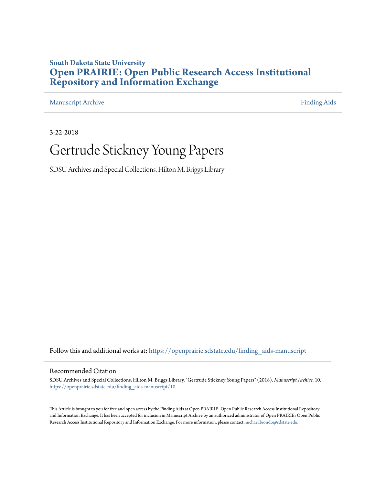### **South Dakota State University [Open PRAIRIE: Open Public Research Access Institutional](https://openprairie.sdstate.edu?utm_source=openprairie.sdstate.edu%2Ffinding_aids-manuscript%2F10&utm_medium=PDF&utm_campaign=PDFCoverPages) [Repository and Information Exchange](https://openprairie.sdstate.edu?utm_source=openprairie.sdstate.edu%2Ffinding_aids-manuscript%2F10&utm_medium=PDF&utm_campaign=PDFCoverPages)**

[Manuscript Archive](https://openprairie.sdstate.edu/finding_aids-manuscript?utm_source=openprairie.sdstate.edu%2Ffinding_aids-manuscript%2F10&utm_medium=PDF&utm_campaign=PDFCoverPages) **[Finding Aids](https://openprairie.sdstate.edu/finding_aids?utm_source=openprairie.sdstate.edu%2Ffinding_aids-manuscript%2F10&utm_medium=PDF&utm_campaign=PDFCoverPages) Finding Aids** 

3-22-2018

# Gertrude Stickney Young Papers

SDSU Archives and Special Collections, Hilton M. Briggs Library

Follow this and additional works at: [https://openprairie.sdstate.edu/finding\\_aids-manuscript](https://openprairie.sdstate.edu/finding_aids-manuscript?utm_source=openprairie.sdstate.edu%2Ffinding_aids-manuscript%2F10&utm_medium=PDF&utm_campaign=PDFCoverPages)

#### Recommended Citation

SDSU Archives and Special Collections, Hilton M. Briggs Library, "Gertrude Stickney Young Papers" (2018). *Manuscript Archive*. 10. [https://openprairie.sdstate.edu/finding\\_aids-manuscript/10](https://openprairie.sdstate.edu/finding_aids-manuscript/10?utm_source=openprairie.sdstate.edu%2Ffinding_aids-manuscript%2F10&utm_medium=PDF&utm_campaign=PDFCoverPages)

This Article is brought to you for free and open access by the Finding Aids at Open PRAIRIE: Open Public Research Access Institutional Repository and Information Exchange. It has been accepted for inclusion in Manuscript Archive by an authorized administrator of Open PRAIRIE: Open Public Research Access Institutional Repository and Information Exchange. For more information, please contact [michael.biondo@sdstate.edu.](mailto:michael.biondo@sdstate.edu)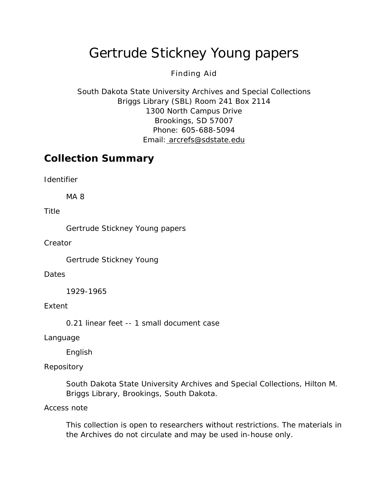# Gertrude Stickney Young papers

### Finding Aid

South Dakota State University Archives and Special Collections Briggs Library (SBL) Room 241 Box 2114 1300 North Campus Drive Brookings, SD 57007 Phone: 605-688-5094 Email: [arcrefs@sdstate.edu](mailto:arcrefs@sdstate.edu)

## **Collection Summary**

*Identifier*

MA 8

*Title*

Gertrude Stickney Young papers

*Creator*

Gertrude Stickney Young

#### *Dates*

1929-1965

#### *Extent*

0.21 linear feet -- 1 small document case

#### Language

English

#### *Repository*

South Dakota State University Archives and Special Collections, Hilton M. Briggs Library, Brookings, South Dakota.

#### *Access note*

This collection is open to researchers without restrictions. The materials in the Archives do not circulate and may be used in-house only.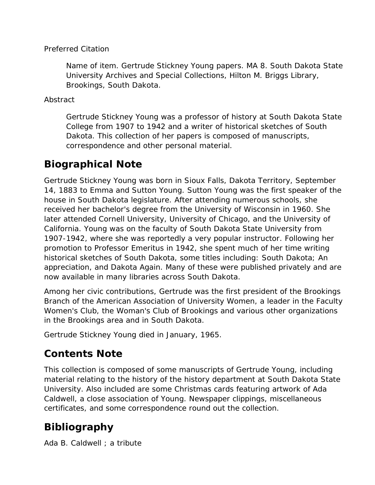### *Preferred Citation*

*Name of item*. Gertrude Stickney Young papers. MA 8. South Dakota State University Archives and Special Collections, Hilton M. Briggs Library, Brookings, South Dakota.

### *Abstract*

Gertrude Stickney Young was a professor of history at South Dakota State College from 1907 to 1942 and a writer of historical sketches of South Dakota. This collection of her papers is composed of manuscripts, correspondence and other personal material.

# **Biographical Note**

Gertrude Stickney Young was born in Sioux Falls, Dakota Territory, September 14, 1883 to Emma and Sutton Young. Sutton Young was the first speaker of the house in South Dakota legislature. After attending numerous schools, she received her bachelor's degree from the University of Wisconsin in 1960. She later attended Cornell University, University of Chicago, and the University of California. Young was on the faculty of South Dakota State University from 1907-1942, where she was reportedly a very popular instructor. Following her promotion to Professor Emeritus in 1942, she spent much of her time writing historical sketches of South Dakota, some titles including: South Dakota; An appreciation, and Dakota Again. Many of these were published privately and are now available in many libraries across South Dakota.

Among her civic contributions, Gertrude was the first president of the Brookings Branch of the American Association of University Women, a leader in the Faculty Women's Club, the Woman's Club of Brookings and various other organizations in the Brookings area and in South Dakota.

Gertrude Stickney Young died in January, 1965.

# **Contents Note**

This collection is composed of some manuscripts of Gertrude Young, including material relating to the history of the history department at South Dakota State University. Also included are some Christmas cards featuring artwork of Ada Caldwell, a close association of Young. Newspaper clippings, miscellaneous certificates, and some correspondence round out the collection.

# **Bibliography**

Ada B. Caldwell ; a tribute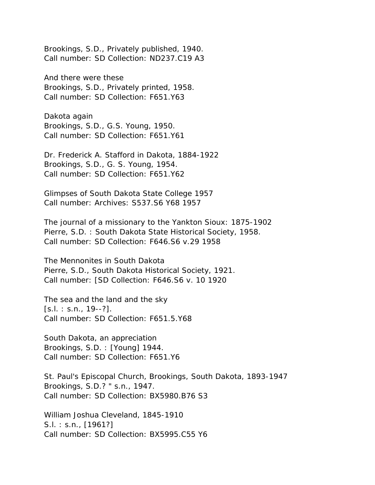Brookings, S.D., Privately published, 1940. Call number: SD Collection: ND237.C19 A3

And there were these Brookings, S.D., Privately printed, 1958. Call number: SD Collection: F651.Y63

Dakota again Brookings, S.D., G.S. Young, 1950. Call number: SD Collection: F651.Y61

Dr. Frederick A. Stafford in Dakota, 1884-1922 Brookings, S.D., G. S. Young, 1954. Call number: SD Collection: F651.Y62

Glimpses of South Dakota State College 1957 Call number: Archives: S537.S6 Y68 1957

The journal of a missionary to the Yankton Sioux: 1875-1902 Pierre, S.D. : South Dakota State Historical Society, 1958. Call number: SD Collection: F646.S6 v.29 1958

The Mennonites in South Dakota Pierre, S.D., South Dakota Historical Society, 1921. Call number: [SD Collection: F646.S6 v. 10 1920

The sea and the land and the sky  $[s.1.: s.n., 19--?].$ Call number: SD Collection: F651.5.Y68

South Dakota, an appreciation Brookings, S.D. : [Young] 1944. Call number: SD Collection: F651.Y6

St. Paul's Episcopal Church, Brookings, South Dakota, 1893-1947 Brookings, S.D.? " s.n., 1947. Call number: SD Collection: BX5980.B76 S3

William Joshua Cleveland, 1845-1910 S.l. : s.n., [1961?] Call number: SD Collection: BX5995.C55 Y6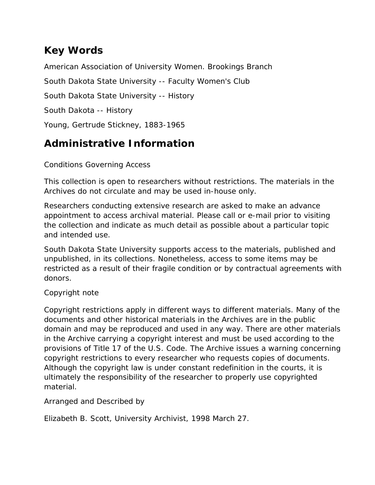# **Key Words**

American Association of University Women. Brookings Branch South Dakota State University -- Faculty Women's Club South Dakota State University -- History South Dakota -- History Young, Gertrude Stickney, 1883-1965

# **Administrative Information**

## *Conditions Governing Access*

This collection is open to researchers without restrictions. The materials in the Archives do not circulate and may be used in-house only.

Researchers conducting extensive research are asked to make an advance appointment to access archival material. Please call or e-mail prior to visiting the collection and indicate as much detail as possible about a particular topic and intended use.

South Dakota State University supports access to the materials, published and unpublished, in its collections. Nonetheless, access to some items may be restricted as a result of their fragile condition or by contractual agreements with donors.

### *Copyright note*

Copyright restrictions apply in different ways to different materials. Many of the documents and other historical materials in the Archives are in the public domain and may be reproduced and used in any way. There are other materials in the Archive carrying a copyright interest and must be used according to the provisions of Title 17 of the U.S. Code. The Archive issues a warning concerning copyright restrictions to every researcher who requests copies of documents. Although the copyright law is under constant redefinition in the courts, it is ultimately the responsibility of the researcher to properly use copyrighted material.

### *Arranged and Described by*

Elizabeth B. Scott, University Archivist, 1998 March 27.